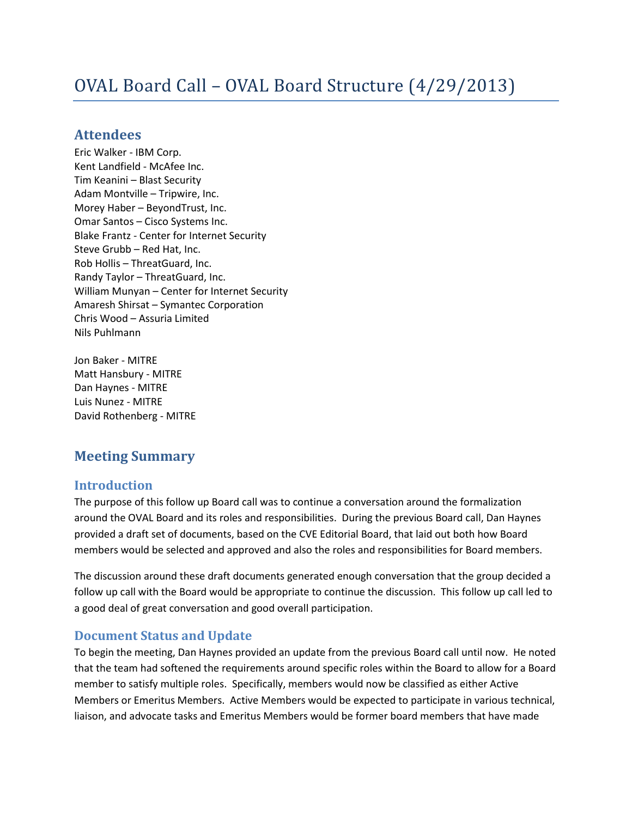# OVAL Board Call – OVAL Board Structure (4/29/2013)

## **Attendees**

Eric Walker - IBM Corp. Kent Landfield - McAfee Inc. Tim Keanini – Blast Security Adam Montville – Tripwire, Inc. Morey Haber – BeyondTrust, Inc. Omar Santos – Cisco Systems Inc. Blake Frantz - Center for Internet Security Steve Grubb – Red Hat, Inc. Rob Hollis – ThreatGuard, Inc. Randy Taylor – ThreatGuard, Inc. William Munyan – Center for Internet Security Amaresh Shirsat – Symantec Corporation Chris Wood – Assuria Limited Nils Puhlmann

Jon Baker - MITRE Matt Hansbury - MITRE Dan Haynes - MITRE Luis Nunez - MITRE David Rothenberg - MITRE

# **Meeting Summary**

## **Introduction**

The purpose of this follow up Board call was to continue a conversation around the formalization around the OVAL Board and its roles and responsibilities. During the previous Board call, Dan Haynes provided a draft set of documents, based on the CVE Editorial Board, that laid out both how Board members would be selected and approved and also the roles and responsibilities for Board members.

The discussion around these draft documents generated enough conversation that the group decided a follow up call with the Board would be appropriate to continue the discussion. This follow up call led to a good deal of great conversation and good overall participation.

# **Document Status and Update**

To begin the meeting, Dan Haynes provided an update from the previous Board call until now. He noted that the team had softened the requirements around specific roles within the Board to allow for a Board member to satisfy multiple roles. Specifically, members would now be classified as either Active Members or Emeritus Members. Active Members would be expected to participate in various technical, liaison, and advocate tasks and Emeritus Members would be former board members that have made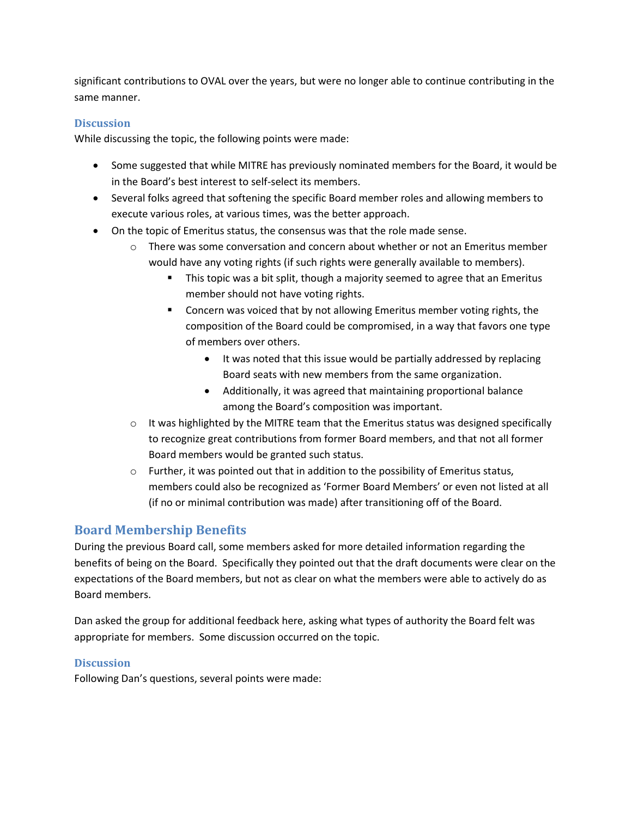significant contributions to OVAL over the years, but were no longer able to continue contributing in the same manner.

#### **Discussion**

While discussing the topic, the following points were made:

- Some suggested that while MITRE has previously nominated members for the Board, it would be in the Board's best interest to self-select its members.
- Several folks agreed that softening the specific Board member roles and allowing members to execute various roles, at various times, was the better approach.
- On the topic of Emeritus status, the consensus was that the role made sense.
	- $\circ$  There was some conversation and concern about whether or not an Emeritus member would have any voting rights (if such rights were generally available to members).
		- **This topic was a bit split, though a majority seemed to agree that an Emeritus** member should not have voting rights.
		- Concern was voiced that by not allowing Emeritus member voting rights, the composition of the Board could be compromised, in a way that favors one type of members over others.
			- It was noted that this issue would be partially addressed by replacing Board seats with new members from the same organization.
			- Additionally, it was agreed that maintaining proportional balance among the Board's composition was important.
	- $\circ$  It was highlighted by the MITRE team that the Emeritus status was designed specifically to recognize great contributions from former Board members, and that not all former Board members would be granted such status.
	- o Further, it was pointed out that in addition to the possibility of Emeritus status, members could also be recognized as 'Former Board Members' or even not listed at all (if no or minimal contribution was made) after transitioning off of the Board.

# **Board Membership Benefits**

During the previous Board call, some members asked for more detailed information regarding the benefits of being on the Board. Specifically they pointed out that the draft documents were clear on the expectations of the Board members, but not as clear on what the members were able to actively do as Board members.

Dan asked the group for additional feedback here, asking what types of authority the Board felt was appropriate for members. Some discussion occurred on the topic.

#### **Discussion**

Following Dan's questions, several points were made: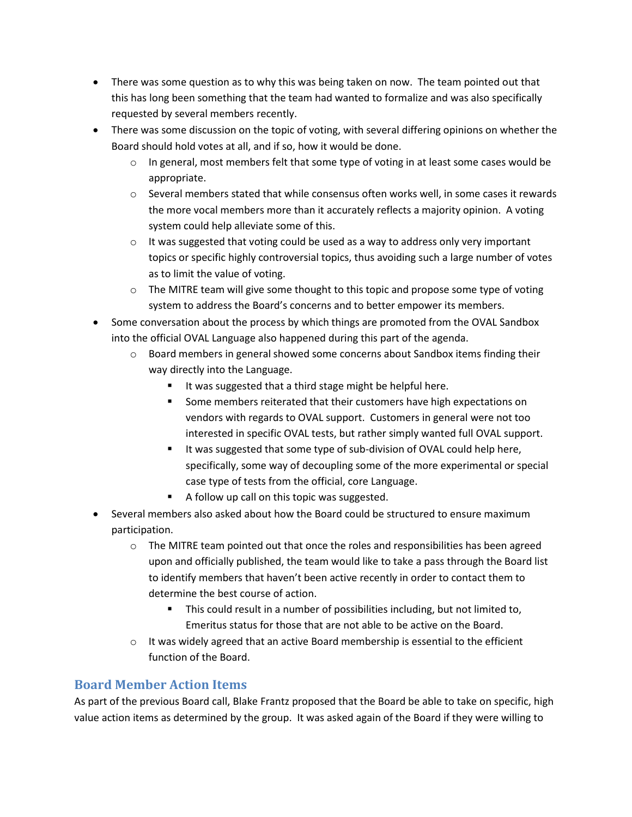- There was some question as to why this was being taken on now. The team pointed out that this has long been something that the team had wanted to formalize and was also specifically requested by several members recently.
- There was some discussion on the topic of voting, with several differing opinions on whether the Board should hold votes at all, and if so, how it would be done.
	- o In general, most members felt that some type of voting in at least some cases would be appropriate.
	- $\circ$  Several members stated that while consensus often works well, in some cases it rewards the more vocal members more than it accurately reflects a majority opinion. A voting system could help alleviate some of this.
	- $\circ$  It was suggested that voting could be used as a way to address only very important topics or specific highly controversial topics, thus avoiding such a large number of votes as to limit the value of voting.
	- $\circ$  The MITRE team will give some thought to this topic and propose some type of voting system to address the Board's concerns and to better empower its members.
- Some conversation about the process by which things are promoted from the OVAL Sandbox into the official OVAL Language also happened during this part of the agenda.
	- $\circ$  Board members in general showed some concerns about Sandbox items finding their way directly into the Language.
		- It was suggested that a third stage might be helpful here.
		- **Some members reiterated that their customers have high expectations on** vendors with regards to OVAL support. Customers in general were not too interested in specific OVAL tests, but rather simply wanted full OVAL support.
		- It was suggested that some type of sub-division of OVAL could help here, specifically, some way of decoupling some of the more experimental or special case type of tests from the official, core Language.
		- A follow up call on this topic was suggested.
- Several members also asked about how the Board could be structured to ensure maximum participation.
	- $\circ$  The MITRE team pointed out that once the roles and responsibilities has been agreed upon and officially published, the team would like to take a pass through the Board list to identify members that haven't been active recently in order to contact them to determine the best course of action.
		- This could result in a number of possibilities including, but not limited to, Emeritus status for those that are not able to be active on the Board.
	- o It was widely agreed that an active Board membership is essential to the efficient function of the Board.

# **Board Member Action Items**

As part of the previous Board call, Blake Frantz proposed that the Board be able to take on specific, high value action items as determined by the group. It was asked again of the Board if they were willing to